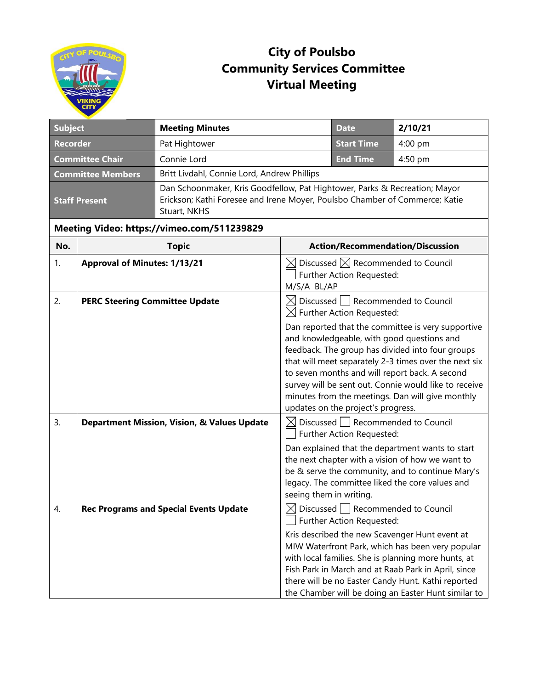

## **City of Poulsbo Community Services Committee Virtual Meeting**

|                                             | <b>Meeting Minutes</b>                                               |                                                                                                         | <b>Date</b>       | 2/10/21                                                                                                                                                                                                                                                                                                                                                                                                                                                                                                                                                                                                                                                                                                                                                                                                                                                                                                                                                                                                                                                                                                                                                                                                                                                                                                                       |  |
|---------------------------------------------|----------------------------------------------------------------------|---------------------------------------------------------------------------------------------------------|-------------------|-------------------------------------------------------------------------------------------------------------------------------------------------------------------------------------------------------------------------------------------------------------------------------------------------------------------------------------------------------------------------------------------------------------------------------------------------------------------------------------------------------------------------------------------------------------------------------------------------------------------------------------------------------------------------------------------------------------------------------------------------------------------------------------------------------------------------------------------------------------------------------------------------------------------------------------------------------------------------------------------------------------------------------------------------------------------------------------------------------------------------------------------------------------------------------------------------------------------------------------------------------------------------------------------------------------------------------|--|
| <b>Recorder</b><br>Pat Hightower            |                                                                      |                                                                                                         | <b>Start Time</b> | 4:00 pm                                                                                                                                                                                                                                                                                                                                                                                                                                                                                                                                                                                                                                                                                                                                                                                                                                                                                                                                                                                                                                                                                                                                                                                                                                                                                                                       |  |
|                                             | Connie Lord                                                          |                                                                                                         | <b>End Time</b>   | 4:50 pm                                                                                                                                                                                                                                                                                                                                                                                                                                                                                                                                                                                                                                                                                                                                                                                                                                                                                                                                                                                                                                                                                                                                                                                                                                                                                                                       |  |
|                                             | Britt Livdahl, Connie Lord, Andrew Phillips                          |                                                                                                         |                   |                                                                                                                                                                                                                                                                                                                                                                                                                                                                                                                                                                                                                                                                                                                                                                                                                                                                                                                                                                                                                                                                                                                                                                                                                                                                                                                               |  |
| <b>Staff Present</b><br>Stuart, NKHS        |                                                                      |                                                                                                         |                   |                                                                                                                                                                                                                                                                                                                                                                                                                                                                                                                                                                                                                                                                                                                                                                                                                                                                                                                                                                                                                                                                                                                                                                                                                                                                                                                               |  |
| Meeting Video: https://vimeo.com/511239829  |                                                                      |                                                                                                         |                   |                                                                                                                                                                                                                                                                                                                                                                                                                                                                                                                                                                                                                                                                                                                                                                                                                                                                                                                                                                                                                                                                                                                                                                                                                                                                                                                               |  |
| No.<br><b>Topic</b>                         |                                                                      | <b>Action/Recommendation/Discussion</b>                                                                 |                   |                                                                                                                                                                                                                                                                                                                                                                                                                                                                                                                                                                                                                                                                                                                                                                                                                                                                                                                                                                                                                                                                                                                                                                                                                                                                                                                               |  |
| <b>Approval of Minutes: 1/13/21</b><br>1.   |                                                                      | $\boxtimes$ Discussed $\boxtimes$ Recommended to Council<br>Further Action Requested:<br>M/S/A BL/AP    |                   |                                                                                                                                                                                                                                                                                                                                                                                                                                                                                                                                                                                                                                                                                                                                                                                                                                                                                                                                                                                                                                                                                                                                                                                                                                                                                                                               |  |
| 2.<br><b>PERC Steering Committee Update</b> |                                                                      | $\boxtimes$ Discussed Recommended to Council<br>$\boxtimes$ Further Action Requested:                   |                   |                                                                                                                                                                                                                                                                                                                                                                                                                                                                                                                                                                                                                                                                                                                                                                                                                                                                                                                                                                                                                                                                                                                                                                                                                                                                                                                               |  |
|                                             |                                                                      |                                                                                                         |                   |                                                                                                                                                                                                                                                                                                                                                                                                                                                                                                                                                                                                                                                                                                                                                                                                                                                                                                                                                                                                                                                                                                                                                                                                                                                                                                                               |  |
|                                             |                                                                      |                                                                                                         |                   |                                                                                                                                                                                                                                                                                                                                                                                                                                                                                                                                                                                                                                                                                                                                                                                                                                                                                                                                                                                                                                                                                                                                                                                                                                                                                                                               |  |
|                                             |                                                                      |                                                                                                         |                   |                                                                                                                                                                                                                                                                                                                                                                                                                                                                                                                                                                                                                                                                                                                                                                                                                                                                                                                                                                                                                                                                                                                                                                                                                                                                                                                               |  |
|                                             | <b>Subject</b><br><b>Committee Chair</b><br><b>Committee Members</b> | <b>Department Mission, Vision, &amp; Values Update</b><br><b>Rec Programs and Special Events Update</b> |                   | Dan Schoonmaker, Kris Goodfellow, Pat Hightower, Parks & Recreation; Mayor<br>Erickson; Kathi Foresee and Irene Moyer, Poulsbo Chamber of Commerce; Katie<br>Dan reported that the committee is very supportive<br>and knowledgeable, with good questions and<br>feedback. The group has divided into four groups<br>that will meet separately 2-3 times over the next six<br>to seven months and will report back. A second<br>survey will be sent out. Connie would like to receive<br>minutes from the meetings. Dan will give monthly<br>updates on the project's progress.<br>$\boxtimes$ Discussed   Recommended to Council<br>Further Action Requested:<br>Dan explained that the department wants to start<br>the next chapter with a vision of how we want to<br>be & serve the community, and to continue Mary's<br>legacy. The committee liked the core values and<br>seeing them in writing.<br>$\boxtimes$ Discussed $\Box$ Recommended to Council<br>Further Action Requested:<br>Kris described the new Scavenger Hunt event at<br>MIW Waterfront Park, which has been very popular<br>with local families. She is planning more hunts, at<br>Fish Park in March and at Raab Park in April, since<br>there will be no Easter Candy Hunt. Kathi reported<br>the Chamber will be doing an Easter Hunt similar to |  |